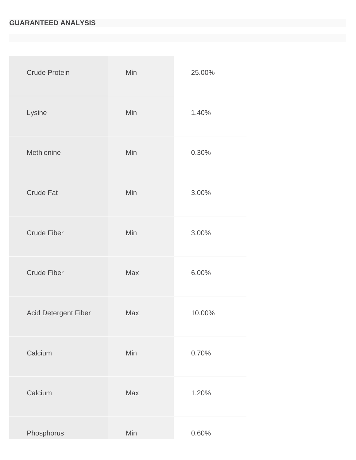## **GUARANTEED ANALYSIS**

| <b>Crude Protein</b>        | Min        | 25.00% |
|-----------------------------|------------|--------|
| Lysine                      | Min        | 1.40%  |
| Methionine                  | Min        | 0.30%  |
| <b>Crude Fat</b>            | Min        | 3.00%  |
| <b>Crude Fiber</b>          | Min        | 3.00%  |
| <b>Crude Fiber</b>          | <b>Max</b> | 6.00%  |
| <b>Acid Detergent Fiber</b> | <b>Max</b> | 10.00% |
| Calcium                     | Min        | 0.70%  |
| Calcium                     | Max        | 1.20%  |
| Phosphorus                  | Min        | 0.60%  |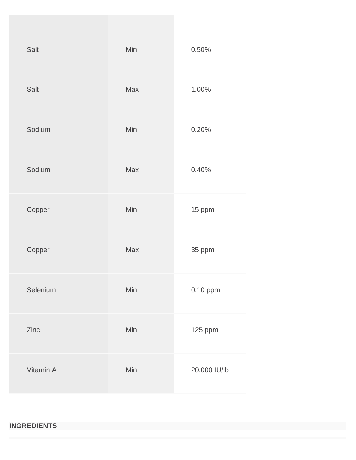| Salt      | Min        | 0.50%        |
|-----------|------------|--------------|
| Salt      | Max        | 1.00%        |
| Sodium    | Min        | 0.20%        |
| Sodium    | <b>Max</b> | 0.40%        |
| Copper    | Min        | 15 ppm       |
| Copper    | Max        | 35 ppm       |
| Selenium  | Min        | 0.10 ppm     |
| Zinc      | Min        | 125 ppm      |
| Vitamin A | Min        | 20,000 IU/lb |

## **INGREDIENTS**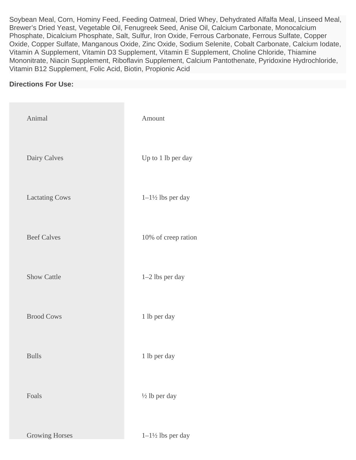Soybean Meal, Corn, Hominy Feed, Feeding Oatmeal, Dried Whey, Dehydrated Alfalfa Meal, Linseed Meal, Brewer's Dried Yeast, Vegetable Oil, Fenugreek Seed, Anise Oil, Calcium Carbonate, Monocalcium Phosphate, Dicalcium Phosphate, Salt, Sulfur, Iron Oxide, Ferrous Carbonate, Ferrous Sulfate, Copper Oxide, Copper Sulfate, Manganous Oxide, Zinc Oxide, Sodium Selenite, Cobalt Carbonate, Calcium Iodate, Vitamin A Supplement, Vitamin D3 Supplement, Vitamin E Supplement, Choline Chloride, Thiamine Mononitrate, Niacin Supplement, Riboflavin Supplement, Calcium Pantothenate, Pyridoxine Hydrochloride, Vitamin B12 Supplement, Folic Acid, Biotin, Propionic Acid

## **Directions For Use:**

| Animal                | Amount                       |
|-----------------------|------------------------------|
| Dairy Calves          | Up to 1 lb per day           |
| <b>Lactating Cows</b> | $1-1\frac{1}{2}$ lbs per day |
| <b>Beef Calves</b>    | 10% of creep ration          |
| <b>Show Cattle</b>    | 1-2 lbs per day              |
| <b>Brood Cows</b>     | 1 lb per day                 |
| <b>Bulls</b>          | 1 lb per day                 |
| Foals                 | $\frac{1}{2}$ lb per day     |
| <b>Growing Horses</b> | $1-1\frac{1}{2}$ lbs per day |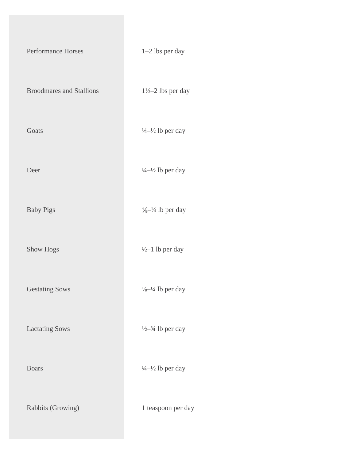| Performance Horses              | 1-2 lbs per day                        |
|---------------------------------|----------------------------------------|
| <b>Broodmares and Stallions</b> | $1\frac{1}{2}$ -2 lbs per day          |
| Goats                           | $\frac{1}{4} - \frac{1}{2}$ lb per day |
| Deer                            | $\frac{1}{4}-\frac{1}{2}$ lb per day   |
| <b>Baby Pigs</b>                | $\frac{1}{8} - \frac{1}{4}$ lb per day |
| Show Hogs                       | $\frac{1}{2}$ -1 lb per day            |
| <b>Gestating Sows</b>           | $\frac{1}{8} - \frac{1}{4}$ lb per day |
| <b>Lactating Sows</b>           | $\frac{1}{2} - \frac{3}{4}$ lb per day |
| <b>Boars</b>                    | $\frac{1}{4} - \frac{1}{2}$ lb per day |
| Rabbits (Growing)               | 1 teaspoon per day                     |